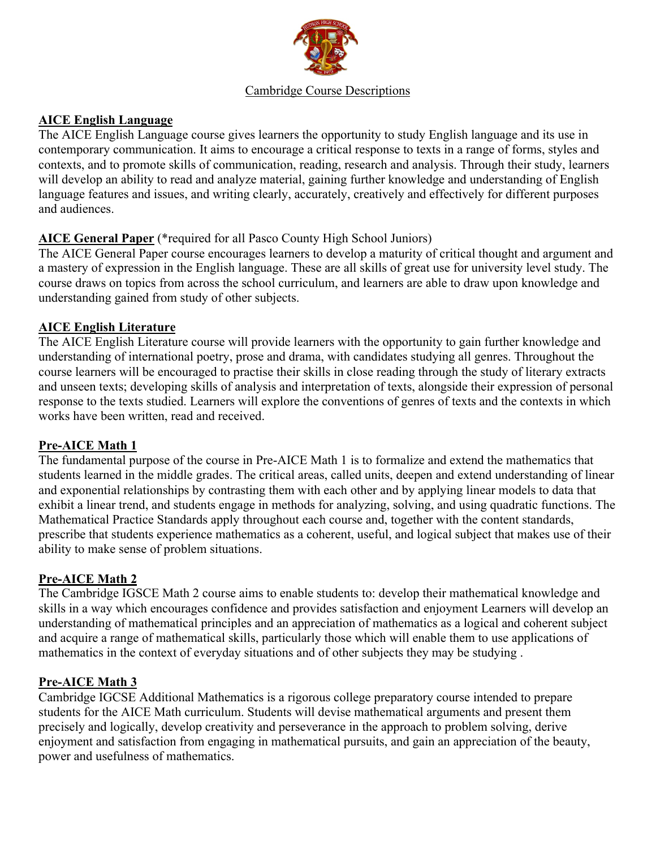

#### Cambridge Course Descriptions

### **AICE English Language**

The AICE English Language course gives learners the opportunity to study English language and its use in contemporary communication. It aims to encourage a critical response to texts in a range of forms, styles and contexts, and to promote skills of communication, reading, research and analysis. Through their study, learners will develop an ability to read and analyze material, gaining further knowledge and understanding of English language features and issues, and writing clearly, accurately, creatively and effectively for different purposes and audiences.

### **AICE General Paper** (\*required for all Pasco County High School Juniors)

The AICE General Paper course encourages learners to develop a maturity of critical thought and argument and a mastery of expression in the English language. These are all skills of great use for university level study. The course draws on topics from across the school curriculum, and learners are able to draw upon knowledge and understanding gained from study of other subjects.

### **AICE English Literature**

The AICE English Literature course will provide learners with the opportunity to gain further knowledge and understanding of international poetry, prose and drama, with candidates studying all genres. Throughout the course learners will be encouraged to practise their skills in close reading through the study of literary extracts and unseen texts; developing skills of analysis and interpretation of texts, alongside their expression of personal response to the texts studied. Learners will explore the conventions of genres of texts and the contexts in which works have been written, read and received.

# **Pre-AICE Math 1**

The fundamental purpose of the course in Pre-AICE Math 1 is to formalize and extend the mathematics that students learned in the middle grades. The critical areas, called units, deepen and extend understanding of linear and exponential relationships by contrasting them with each other and by applying linear models to data that exhibit a linear trend, and students engage in methods for analyzing, solving, and using quadratic functions. The Mathematical Practice Standards apply throughout each course and, together with the content standards, prescribe that students experience mathematics as a coherent, useful, and logical subject that makes use of their ability to make sense of problem situations.

# **Pre-AICE Math 2**

The Cambridge IGSCE Math 2 course aims to enable students to: develop their mathematical knowledge and skills in a way which encourages confidence and provides satisfaction and enjoyment Learners will develop an understanding of mathematical principles and an appreciation of mathematics as a logical and coherent subject and acquire a range of mathematical skills, particularly those which will enable them to use applications of mathematics in the context of everyday situations and of other subjects they may be studying .

### **Pre-AICE Math 3**

Cambridge IGCSE Additional Mathematics is a rigorous college preparatory course intended to prepare students for the AICE Math curriculum. Students will devise mathematical arguments and present them precisely and logically, develop creativity and perseverance in the approach to problem solving, derive enjoyment and satisfaction from engaging in mathematical pursuits, and gain an appreciation of the beauty, power and usefulness of mathematics.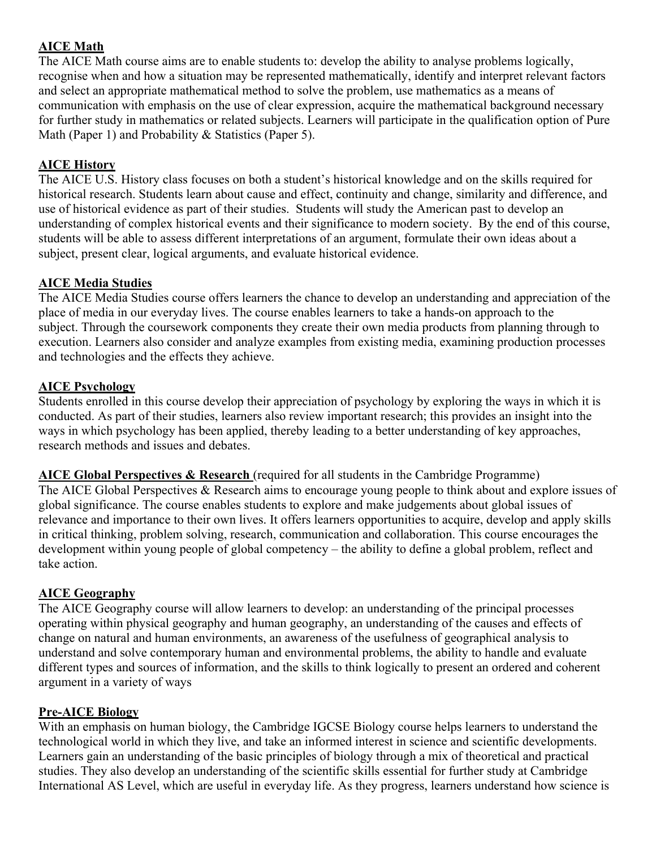# **AICE Math**

The AICE Math course aims are to enable students to: develop the ability to analyse problems logically, recognise when and how a situation may be represented mathematically, identify and interpret relevant factors and select an appropriate mathematical method to solve the problem, use mathematics as a means of communication with emphasis on the use of clear expression, acquire the mathematical background necessary for further study in mathematics or related subjects. Learners will participate in the qualification option of Pure Math (Paper 1) and Probability & Statistics (Paper 5).

## **AICE History**

The AICE U.S. History class focuses on both a student's historical knowledge and on the skills required for historical research. Students learn about cause and effect, continuity and change, similarity and difference, and use of historical evidence as part of their studies. Students will study the American past to develop an understanding of complex historical events and their significance to modern society. By the end of this course, students will be able to assess different interpretations of an argument, formulate their own ideas about a subject, present clear, logical arguments, and evaluate historical evidence.

### **AICE Media Studies**

The AICE Media Studies course offers learners the chance to develop an understanding and appreciation of the place of media in our everyday lives. The course enables learners to take a hands-on approach to the subject. Through the coursework components they create their own media products from planning through to execution. Learners also consider and analyze examples from existing media, examining production processes and technologies and the effects they achieve.

### **AICE Psychology**

Students enrolled in this course develop their appreciation of psychology by exploring the ways in which it is conducted. As part of their studies, learners also review important research; this provides an insight into the ways in which psychology has been applied, thereby leading to a better understanding of key approaches, research methods and issues and debates.

**AICE Global Perspectives & Research** (required for all students in the Cambridge Programme) The AICE Global Perspectives & Research aims to encourage young people to think about and explore issues of global significance. The course enables students to explore and make judgements about global issues of relevance and importance to their own lives. It offers learners opportunities to acquire, develop and apply skills in critical thinking, problem solving, research, communication and collaboration. This course encourages the development within young people of global competency – the ability to define a global problem, reflect and take action.

### **AICE Geography**

The AICE Geography course will allow learners to develop: an understanding of the principal processes operating within physical geography and human geography, an understanding of the causes and effects of change on natural and human environments, an awareness of the usefulness of geographical analysis to understand and solve contemporary human and environmental problems, the ability to handle and evaluate different types and sources of information, and the skills to think logically to present an ordered and coherent argument in a variety of ways

### **Pre-AICE Biology**

With an emphasis on human biology, the Cambridge IGCSE Biology course helps learners to understand the technological world in which they live, and take an informed interest in science and scientific developments. Learners gain an understanding of the basic principles of biology through a mix of theoretical and practical studies. They also develop an understanding of the scientific skills essential for further study at Cambridge International AS Level, which are useful in everyday life. As they progress, learners understand how science is